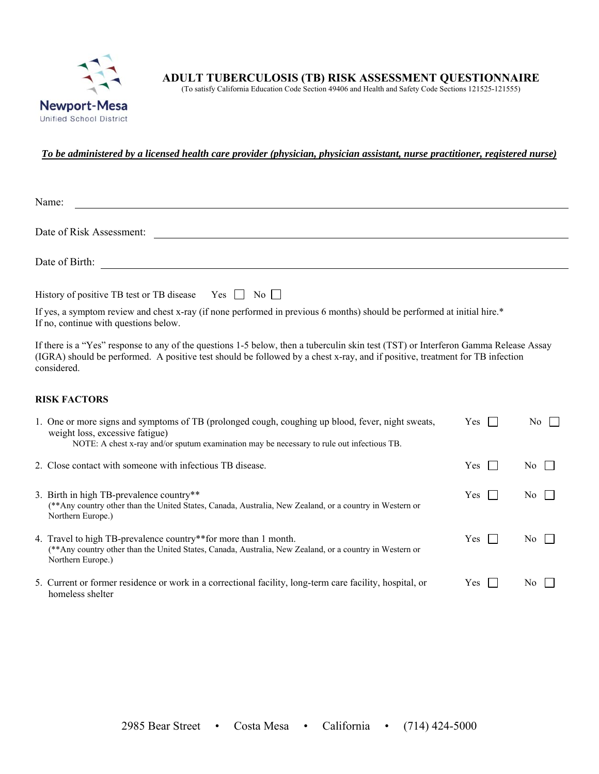

(To satisfy California Education Code Section 49406 and Health and Safety Code Sections 121525-121555)

### *To be administered by a licensed health care provider (physician, physician assistant, nurse practitioner, registered nurse)*

| Name:                                                                                                                                                                                                                                                                              |
|------------------------------------------------------------------------------------------------------------------------------------------------------------------------------------------------------------------------------------------------------------------------------------|
| Date of Risk Assessment:                                                                                                                                                                                                                                                           |
|                                                                                                                                                                                                                                                                                    |
| Date of Birth:                                                                                                                                                                                                                                                                     |
|                                                                                                                                                                                                                                                                                    |
| History of positive TB test or TB disease Yes $\Box$ No $\Box$                                                                                                                                                                                                                     |
| If yes, a symptom review and chest x-ray (if none performed in previous 6 months) should be performed at initial hire.*<br>If no, continue with questions below.                                                                                                                   |
| If there is a "Yes" response to any of the questions 1-5 below, then a tuberculin skin test (TST) or Interferon Gamma Release Assay<br>(IGRA) should be performed. A positive test should be followed by a chest x-ray, and if positive, treatment for TB infection<br>considered. |

#### **RISK FACTORS**

| 1. One or more signs and symptoms of TB (prolonged cough, coughing up blood, fever, night sweats,<br>weight loss, excessive fatigue)<br>NOTE: A chest x-ray and/or sputum examination may be necessary to rule out infectious TB. | <b>Yes</b> | No. |
|-----------------------------------------------------------------------------------------------------------------------------------------------------------------------------------------------------------------------------------|------------|-----|
| 2. Close contact with someone with infectious TB disease.                                                                                                                                                                         | <b>Yes</b> | No. |
| 3. Birth in high TB-prevalence country**<br>(**Any country other than the United States, Canada, Australia, New Zealand, or a country in Western or<br>Northern Europe.)                                                          | Yes        | No. |
| 4. Travel to high TB-prevalence country**for more than 1 month.<br>(**Any country other than the United States, Canada, Australia, New Zealand, or a country in Western or<br>Northern Europe.)                                   | <b>Yes</b> | No. |
| 5. Current or former residence or work in a correctional facility, long-term care facility, hospital, or<br>homeless shelter                                                                                                      | <b>Yes</b> | No. |